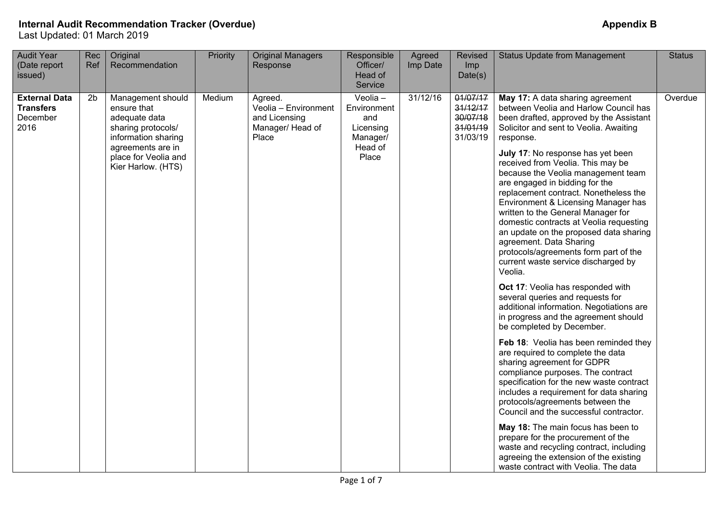| <b>Audit Year</b><br>(Date report<br>issued)                 | Rec<br>Ref     | Original<br>Recommendation                                                                                                                                        | Priority | <b>Original Managers</b><br>Response                                          | Responsible<br>Officer/<br>Head of<br>Service                               | Agreed<br>Imp Date | Revised<br>Imp<br>Date(s)                                | <b>Status Update from Management</b>                                                                                                                                                                                                                                                                                                                                                                                                                                                                                                                                                                                                                                                                                                                                                                                                                                                                                                                                                                                                                                                                                                                                                                                                                                                                                                                                                    | <b>Status</b> |
|--------------------------------------------------------------|----------------|-------------------------------------------------------------------------------------------------------------------------------------------------------------------|----------|-------------------------------------------------------------------------------|-----------------------------------------------------------------------------|--------------------|----------------------------------------------------------|-----------------------------------------------------------------------------------------------------------------------------------------------------------------------------------------------------------------------------------------------------------------------------------------------------------------------------------------------------------------------------------------------------------------------------------------------------------------------------------------------------------------------------------------------------------------------------------------------------------------------------------------------------------------------------------------------------------------------------------------------------------------------------------------------------------------------------------------------------------------------------------------------------------------------------------------------------------------------------------------------------------------------------------------------------------------------------------------------------------------------------------------------------------------------------------------------------------------------------------------------------------------------------------------------------------------------------------------------------------------------------------------|---------------|
| <b>External Data</b><br><b>Transfers</b><br>December<br>2016 | 2 <sub>b</sub> | Management should<br>ensure that<br>adequate data<br>sharing protocols/<br>information sharing<br>agreements are in<br>place for Veolia and<br>Kier Harlow. (HTS) | Medium   | Agreed.<br>Veolia - Environment<br>and Licensing<br>Manager/ Head of<br>Place | Veolia -<br>Environment<br>and<br>Licensing<br>Manager/<br>Head of<br>Place | 31/12/16           | 01/07/17<br>31/12/17<br>30/07/18<br>31/01/19<br>31/03/19 | May 17: A data sharing agreement<br>between Veolia and Harlow Council has<br>been drafted, approved by the Assistant<br>Solicitor and sent to Veolia. Awaiting<br>response.<br>July 17: No response has yet been<br>received from Veolia. This may be<br>because the Veolia management team<br>are engaged in bidding for the<br>replacement contract. Nonetheless the<br>Environment & Licensing Manager has<br>written to the General Manager for<br>domestic contracts at Veolia requesting<br>an update on the proposed data sharing<br>agreement. Data Sharing<br>protocols/agreements form part of the<br>current waste service discharged by<br>Veolia.<br>Oct 17: Veolia has responded with<br>several queries and requests for<br>additional information. Negotiations are<br>in progress and the agreement should<br>be completed by December.<br>Feb 18: Veolia has been reminded they<br>are required to complete the data<br>sharing agreement for GDPR<br>compliance purposes. The contract<br>specification for the new waste contract<br>includes a requirement for data sharing<br>protocols/agreements between the<br>Council and the successful contractor.<br>May 18: The main focus has been to<br>prepare for the procurement of the<br>waste and recycling contract, including<br>agreeing the extension of the existing<br>waste contract with Veolia. The data | Overdue       |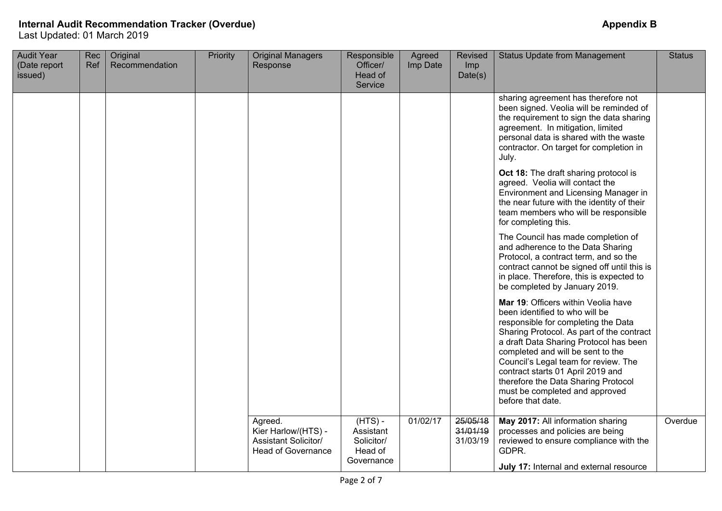| <b>Audit Year</b><br>(Date report<br>issued) | Rec<br>Ref | Original<br>Recommendation | Priority | <b>Original Managers</b><br>Response                                                       | Responsible<br>Officer/<br>Head of<br>Service                 | Agreed<br>Imp Date | Revised<br>Imp<br>Date(s)        | <b>Status Update from Management</b>                                                                                                                                                                                                                                                                                                                                                                                | <b>Status</b> |
|----------------------------------------------|------------|----------------------------|----------|--------------------------------------------------------------------------------------------|---------------------------------------------------------------|--------------------|----------------------------------|---------------------------------------------------------------------------------------------------------------------------------------------------------------------------------------------------------------------------------------------------------------------------------------------------------------------------------------------------------------------------------------------------------------------|---------------|
|                                              |            |                            |          |                                                                                            |                                                               |                    |                                  | sharing agreement has therefore not<br>been signed. Veolia will be reminded of<br>the requirement to sign the data sharing<br>agreement. In mitigation, limited<br>personal data is shared with the waste<br>contractor. On target for completion in<br>July.                                                                                                                                                       |               |
|                                              |            |                            |          |                                                                                            |                                                               |                    |                                  | Oct 18: The draft sharing protocol is<br>agreed. Veolia will contact the<br>Environment and Licensing Manager in<br>the near future with the identity of their<br>team members who will be responsible<br>for completing this.                                                                                                                                                                                      |               |
|                                              |            |                            |          |                                                                                            |                                                               |                    |                                  | The Council has made completion of<br>and adherence to the Data Sharing<br>Protocol, a contract term, and so the<br>contract cannot be signed off until this is<br>in place. Therefore, this is expected to<br>be completed by January 2019.                                                                                                                                                                        |               |
|                                              |            |                            |          |                                                                                            |                                                               |                    |                                  | Mar 19: Officers within Veolia have<br>been identified to who will be<br>responsible for completing the Data<br>Sharing Protocol. As part of the contract<br>a draft Data Sharing Protocol has been<br>completed and will be sent to the<br>Council's Legal team for review. The<br>contract starts 01 April 2019 and<br>therefore the Data Sharing Protocol<br>must be completed and approved<br>before that date. |               |
|                                              |            |                            |          | Agreed.<br>Kier Harlow/(HTS) -<br><b>Assistant Solicitor/</b><br><b>Head of Governance</b> | $(HTS)$ -<br>Assistant<br>Solicitor/<br>Head of<br>Governance | 01/02/17           | 25/05/18<br>31/01/19<br>31/03/19 | May 2017: All information sharing<br>processes and policies are being<br>reviewed to ensure compliance with the<br>GDPR.<br>July 17: Internal and external resource                                                                                                                                                                                                                                                 | Overdue       |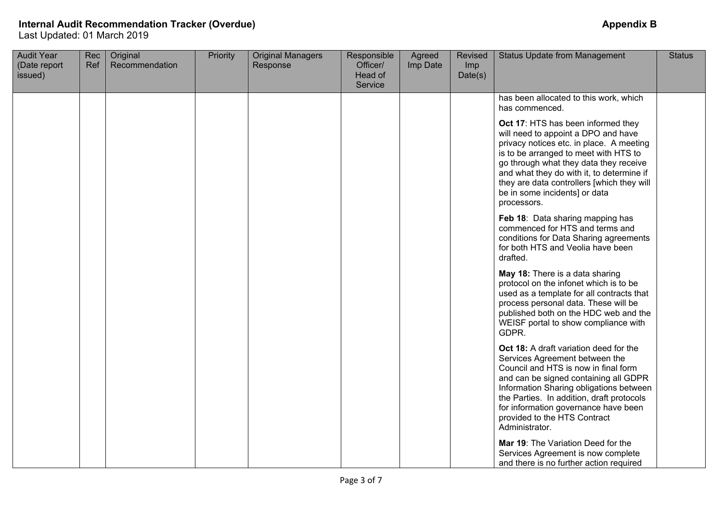| <b>Audit Year</b><br>(Date report<br>issued) | <b>Rec</b><br>Ref | Original<br>Recommendation | Priority | <b>Original Managers</b><br>Response | Responsible<br>Officer/<br>Head of<br>Service | Agreed<br>Imp Date | Revised<br>Imp<br>Date(s) | <b>Status Update from Management</b>                                                                                                                                                                                                                                                                                                                                                                                                                                                                                                                                                                                                                                                                                                                                                                                                                                                                                                                                                                                                                                                                                                                                       | <b>Status</b> |
|----------------------------------------------|-------------------|----------------------------|----------|--------------------------------------|-----------------------------------------------|--------------------|---------------------------|----------------------------------------------------------------------------------------------------------------------------------------------------------------------------------------------------------------------------------------------------------------------------------------------------------------------------------------------------------------------------------------------------------------------------------------------------------------------------------------------------------------------------------------------------------------------------------------------------------------------------------------------------------------------------------------------------------------------------------------------------------------------------------------------------------------------------------------------------------------------------------------------------------------------------------------------------------------------------------------------------------------------------------------------------------------------------------------------------------------------------------------------------------------------------|---------------|
|                                              |                   |                            |          |                                      |                                               |                    |                           | has been allocated to this work, which<br>has commenced.<br>Oct 17: HTS has been informed they<br>will need to appoint a DPO and have<br>privacy notices etc. in place. A meeting<br>is to be arranged to meet with HTS to<br>go through what they data they receive<br>and what they do with it, to determine if<br>they are data controllers [which they will<br>be in some incidents] or data<br>processors.<br>Feb 18: Data sharing mapping has<br>commenced for HTS and terms and<br>conditions for Data Sharing agreements<br>for both HTS and Veolia have been<br>drafted.<br>May 18: There is a data sharing<br>protocol on the infonet which is to be<br>used as a template for all contracts that<br>process personal data. These will be<br>published both on the HDC web and the<br>WEISF portal to show compliance with<br>GDPR.<br>Oct 18: A draft variation deed for the<br>Services Agreement between the<br>Council and HTS is now in final form<br>and can be signed containing all GDPR<br>Information Sharing obligations between<br>the Parties. In addition, draft protocols<br>for information governance have been<br>provided to the HTS Contract |               |
|                                              |                   |                            |          |                                      |                                               |                    |                           | Administrator.<br>Mar 19: The Variation Deed for the<br>Services Agreement is now complete<br>and there is no further action required                                                                                                                                                                                                                                                                                                                                                                                                                                                                                                                                                                                                                                                                                                                                                                                                                                                                                                                                                                                                                                      |               |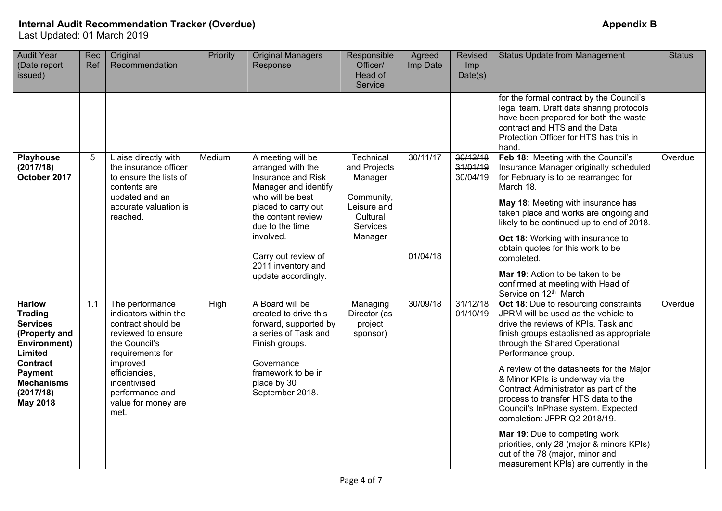| <b>Audit Year</b><br>(Date report<br>issued)                                                                                                                                                    | Rec<br>Ref | Original<br>Recommendation                                                                                                                                                                                               | Priority | <b>Original Managers</b><br>Response                                                                                                                                                                                                                      | Responsible<br>Officer/<br>Head of<br>Service                                                               | Agreed<br>Imp Date   | Revised<br>Imp<br>Date(s)        | <b>Status Update from Management</b>                                                                                                                                                                                                                                                                                                                                                                                                                                                                                                                                                                                     | <b>Status</b> |
|-------------------------------------------------------------------------------------------------------------------------------------------------------------------------------------------------|------------|--------------------------------------------------------------------------------------------------------------------------------------------------------------------------------------------------------------------------|----------|-----------------------------------------------------------------------------------------------------------------------------------------------------------------------------------------------------------------------------------------------------------|-------------------------------------------------------------------------------------------------------------|----------------------|----------------------------------|--------------------------------------------------------------------------------------------------------------------------------------------------------------------------------------------------------------------------------------------------------------------------------------------------------------------------------------------------------------------------------------------------------------------------------------------------------------------------------------------------------------------------------------------------------------------------------------------------------------------------|---------------|
|                                                                                                                                                                                                 |            |                                                                                                                                                                                                                          |          |                                                                                                                                                                                                                                                           |                                                                                                             |                      |                                  | for the formal contract by the Council's<br>legal team. Draft data sharing protocols<br>have been prepared for both the waste<br>contract and HTS and the Data<br>Protection Officer for HTS has this in<br>hand.                                                                                                                                                                                                                                                                                                                                                                                                        |               |
| <b>Playhouse</b><br>(2017/18)<br>October 2017                                                                                                                                                   | 5          | Liaise directly with<br>the insurance officer<br>to ensure the lists of<br>contents are<br>updated and an<br>accurate valuation is<br>reached.                                                                           | Medium   | A meeting will be<br>arranged with the<br>Insurance and Risk<br>Manager and identify<br>who will be best<br>placed to carry out<br>the content review<br>due to the time<br>involved.<br>Carry out review of<br>2011 inventory and<br>update accordingly. | Technical<br>and Projects<br>Manager<br>Community,<br>Leisure and<br>Cultural<br><b>Services</b><br>Manager | 30/11/17<br>01/04/18 | 30/12/18<br>31/01/19<br>30/04/19 | Feb 18: Meeting with the Council's<br>Insurance Manager originally scheduled<br>for February is to be rearranged for<br>March 18.<br>May 18: Meeting with insurance has<br>taken place and works are ongoing and<br>likely to be continued up to end of 2018.<br>Oct 18: Working with insurance to<br>obtain quotes for this work to be<br>completed.<br>Mar 19: Action to be taken to be<br>confirmed at meeting with Head of<br>Service on 12 <sup>th</sup> March                                                                                                                                                      | Overdue       |
| <b>Harlow</b><br><b>Trading</b><br><b>Services</b><br>(Property and<br><b>Environment)</b><br>Limited<br><b>Contract</b><br><b>Payment</b><br><b>Mechanisms</b><br>(2017/18)<br><b>May 2018</b> | 1.1        | The performance<br>indicators within the<br>contract should be<br>reviewed to ensure<br>the Council's<br>requirements for<br>improved<br>efficiencies,<br>incentivised<br>performance and<br>value for money are<br>met. | High     | A Board will be<br>created to drive this<br>forward, supported by<br>a series of Task and<br>Finish groups.<br>Governance<br>framework to be in<br>place by 30<br>September 2018.                                                                         | Managing<br>Director (as<br>project<br>sponsor)                                                             | 30/09/18             | 31/12/18<br>01/10/19             | Oct 18: Due to resourcing constraints<br>JPRM will be used as the vehicle to<br>drive the reviews of KPIs. Task and<br>finish groups established as appropriate<br>through the Shared Operational<br>Performance group.<br>A review of the datasheets for the Major<br>& Minor KPIs is underway via the<br>Contract Administrator as part of the<br>process to transfer HTS data to the<br>Council's InPhase system. Expected<br>completion: JFPR Q2 2018/19.<br>Mar 19: Due to competing work<br>priorities, only 28 (major & minors KPIs)<br>out of the 78 (major, minor and<br>measurement KPIs) are currently in the | Overdue       |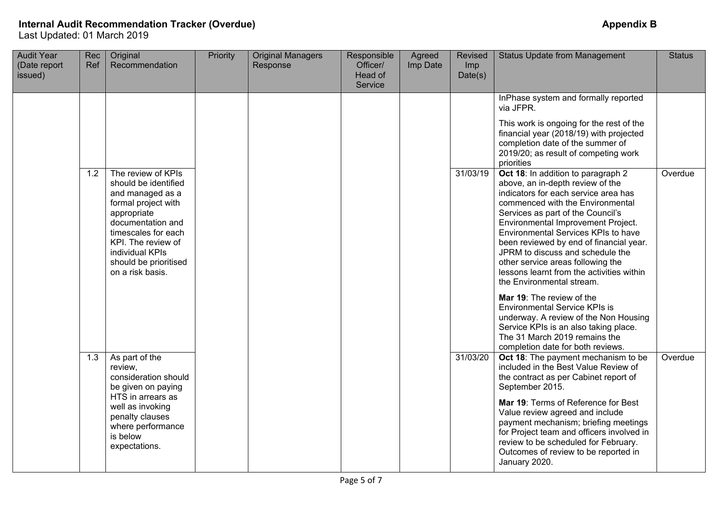| <b>Audit Year</b><br>(Date report<br>issued) | Rec<br>Ref | Original<br>Recommendation                                                                                                                                                                                                             | Priority | <b>Original Managers</b><br>Response | Responsible<br>Officer/<br>Head of<br>Service | Agreed<br>Imp Date | Revised<br>Imp<br>Date(s) | <b>Status Update from Management</b>                                                                                                                                                                                                                                                                                                                                                                                                                                                                                                                                                                                                                       | <b>Status</b> |
|----------------------------------------------|------------|----------------------------------------------------------------------------------------------------------------------------------------------------------------------------------------------------------------------------------------|----------|--------------------------------------|-----------------------------------------------|--------------------|---------------------------|------------------------------------------------------------------------------------------------------------------------------------------------------------------------------------------------------------------------------------------------------------------------------------------------------------------------------------------------------------------------------------------------------------------------------------------------------------------------------------------------------------------------------------------------------------------------------------------------------------------------------------------------------------|---------------|
|                                              |            |                                                                                                                                                                                                                                        |          |                                      |                                               |                    |                           | InPhase system and formally reported<br>via JFPR.<br>This work is ongoing for the rest of the<br>financial year (2018/19) with projected<br>completion date of the summer of<br>2019/20; as result of competing work<br>priorities                                                                                                                                                                                                                                                                                                                                                                                                                         |               |
|                                              | 1.2        | The review of KPIs<br>should be identified<br>and managed as a<br>formal project with<br>appropriate<br>documentation and<br>timescales for each<br>KPI. The review of<br>individual KPIs<br>should be prioritised<br>on a risk basis. |          |                                      |                                               |                    | 31/03/19                  | Oct 18: In addition to paragraph 2<br>above, an in-depth review of the<br>indicators for each service area has<br>commenced with the Environmental<br>Services as part of the Council's<br>Environmental Improvement Project.<br>Environmental Services KPIs to have<br>been reviewed by end of financial year.<br>JPRM to discuss and schedule the<br>other service areas following the<br>lessons learnt from the activities within<br>the Environmental stream.<br>Mar 19: The review of the<br><b>Environmental Service KPIs is</b><br>underway. A review of the Non Housing<br>Service KPIs is an also taking place.<br>The 31 March 2019 remains the | Overdue       |
|                                              | 1.3        | As part of the<br>review.<br>consideration should<br>be given on paying<br>HTS in arrears as<br>well as invoking<br>penalty clauses<br>where performance<br>is below<br>expectations.                                                  |          |                                      |                                               |                    | 31/03/20                  | completion date for both reviews.<br>Oct 18: The payment mechanism to be<br>included in the Best Value Review of<br>the contract as per Cabinet report of<br>September 2015.<br>Mar 19: Terms of Reference for Best<br>Value review agreed and include<br>payment mechanism; briefing meetings<br>for Project team and officers involved in<br>review to be scheduled for February.<br>Outcomes of review to be reported in<br>January 2020.                                                                                                                                                                                                               | Overdue       |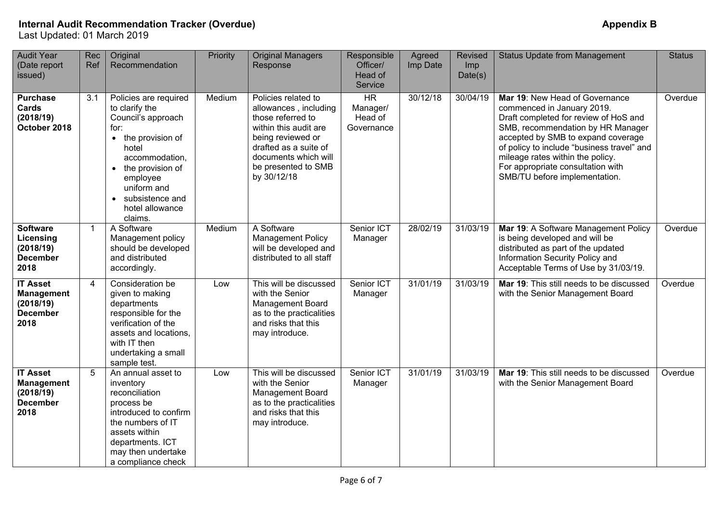| <b>Audit Year</b><br>(Date report<br>issued)                                 | Rec<br>Ref     | Original<br>Recommendation                                                                                                                                                                                                          | Priority | <b>Original Managers</b><br>Response                                                                                                                                                                   | Responsible<br>Officer/<br>Head of<br>Service  | Agreed<br>Imp Date | Revised<br>Imp<br>Date(s) | <b>Status Update from Management</b>                                                                                                                                                                                                                                                                                                     | <b>Status</b> |
|------------------------------------------------------------------------------|----------------|-------------------------------------------------------------------------------------------------------------------------------------------------------------------------------------------------------------------------------------|----------|--------------------------------------------------------------------------------------------------------------------------------------------------------------------------------------------------------|------------------------------------------------|--------------------|---------------------------|------------------------------------------------------------------------------------------------------------------------------------------------------------------------------------------------------------------------------------------------------------------------------------------------------------------------------------------|---------------|
| <b>Purchase</b><br>Cards<br>(2018/19)<br>October 2018                        | 3.1            | Policies are required<br>to clarify the<br>Council's approach<br>for:<br>the provision of<br>$\bullet$<br>hotel<br>accommodation,<br>• the provision of<br>employee<br>uniform and<br>subsistence and<br>hotel allowance<br>claims. | Medium   | Policies related to<br>allowances, including<br>those referred to<br>within this audit are<br>being reviewed or<br>drafted as a suite of<br>documents which will<br>be presented to SMB<br>by 30/12/18 | <b>HR</b><br>Manager/<br>Head of<br>Governance | 30/12/18           | 30/04/19                  | Mar 19: New Head of Governance<br>commenced in January 2019.<br>Draft completed for review of HoS and<br>SMB, recommendation by HR Manager<br>accepted by SMB to expand coverage<br>of policy to include "business travel" and<br>mileage rates within the policy.<br>For appropriate consultation with<br>SMB/TU before implementation. | Overdue       |
| <b>Software</b><br>Licensing<br>(2018/19)<br><b>December</b><br>2018         | $\mathbf 1$    | A Software<br>Management policy<br>should be developed<br>and distributed<br>accordingly.                                                                                                                                           | Medium   | A Software<br><b>Management Policy</b><br>will be developed and<br>distributed to all staff                                                                                                            | Senior ICT<br>Manager                          | 28/02/19           | 31/03/19                  | Mar 19: A Software Management Policy<br>is being developed and will be<br>distributed as part of the updated<br>Information Security Policy and<br>Acceptable Terms of Use by 31/03/19.                                                                                                                                                  | Overdue       |
| <b>IT Asset</b><br><b>Management</b><br>(2018/19)<br><b>December</b><br>2018 | $\overline{4}$ | Consideration be<br>given to making<br>departments<br>responsible for the<br>verification of the<br>assets and locations.<br>with IT then<br>undertaking a small<br>sample test.                                                    | Low      | This will be discussed<br>with the Senior<br><b>Management Board</b><br>as to the practicalities<br>and risks that this<br>may introduce.                                                              | Senior ICT<br>Manager                          | 31/01/19           | 31/03/19                  | Mar 19: This still needs to be discussed<br>with the Senior Management Board                                                                                                                                                                                                                                                             | Overdue       |
| <b>IT Asset</b><br><b>Management</b><br>(2018/19)<br><b>December</b><br>2018 | 5              | An annual asset to<br>inventory<br>reconciliation<br>process be<br>introduced to confirm<br>the numbers of IT<br>assets within<br>departments. ICT<br>may then undertake<br>a compliance check                                      | Low      | This will be discussed<br>with the Senior<br>Management Board<br>as to the practicalities<br>and risks that this<br>may introduce.                                                                     | Senior ICT<br>Manager                          | 31/01/19           | 31/03/19                  | Mar 19: This still needs to be discussed<br>with the Senior Management Board                                                                                                                                                                                                                                                             | Overdue       |